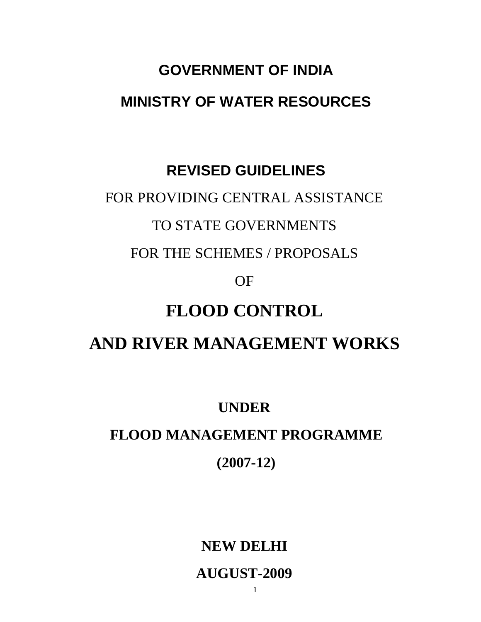# **GOVERNMENT OF INDIA MINISTRY OF WATER RESOURCES**

## **REVISED GUIDELINES**

### FOR PROVIDING CENTRAL ASSISTANCE

### TO STATE GOVERNMENTS

FOR THE SCHEMES / PROPOSALS

OF

# **FLOOD CONTROL**

# **AND RIVER MANAGEMENT WORKS**

### **UNDER**

### **FLOOD MANAGEMENT PROGRAMME**

### **(2007-12)**

### **NEW DELHI**

### **AUGUST-2009**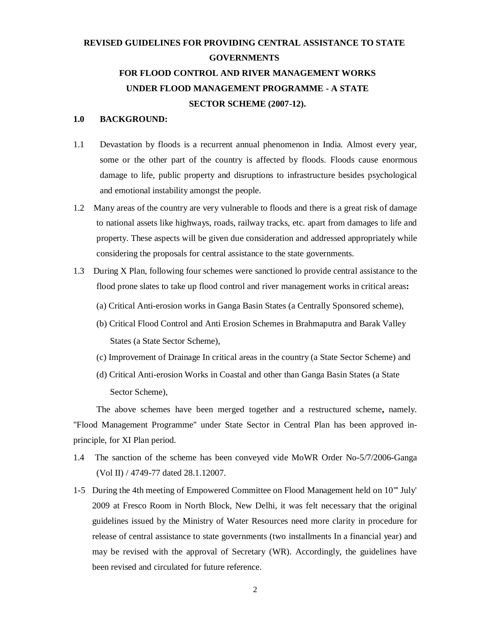#### **REVISED GUIDELINES FOR PROVIDING CENTRAL ASSISTANCE TO STATE GOVERNMENTS FOR FLOOD CONTROL AND RIVER MANAGEMENT WORKS UNDER FLOOD MANAGEMENT PROGRAMME - A STATE SECTOR SCHEME (2007-12).**

#### **1.0 BACKGROUND:**

- 1.1 Devastation by floods is a recurrent annual phenomenon in India. Almost every year, some or the other part of the country is affected by floods. Floods cause enormous damage to life, public property and disruptions to infrastructure besides psychological and emotional instability amongst the people.
- 1.2 Many areas of the country are very vulnerable to floods and there is a great risk of damage to national assets like highways, roads, railway tracks, etc. apart from damages to life and property. These aspects will be given due consideration and addressed appropriately while considering the proposals for central assistance to the state governments.
- 1.3During X Plan, following four schemes were sanctioned lo provide central assistance to the flood prone slates to take up flood control and river management works in critical areas**:**
	- (a) Critical Anti-erosion works in Ganga Basin States (a Centrally Sponsored scheme),
	- (b) Critical Flood Control and Anti Erosion Schemes in Brahmaputra and Barak Valley States (a State Sector Scheme),
	- (c) Improvement of Drainage In critical areas in the country (a State Sector Scheme) and
	- (d) Critical Anti-erosion Works in Coastal and other than Ganga Basin States (a State Sector Scheme),

The above schemes have been merged together and a restructured scheme**,** namely. "Flood Management Programme" under State Sector in Central Plan has been approved inprinciple, for XI Plan period.

- 1.4 The sanction of the scheme has been conveyed vide MoWR Order No-5/7/2006-Ganga (Vol II) / 4749-77 dated 28.1.12007.
- 1-5 During the 4th meeting of Empowered Committee on Flood Management held on 10"' July' 2009 at Fresco Room in North Block, New Delhi, it was felt necessary that the original guidelines issued by the Ministry of Water Resources need more clarity in procedure for release of central assistance to state governments (two installments In a financial year) and may be revised with the approval of Secretary (WR). Accordingly, the guidelines have been revised and circulated for future reference.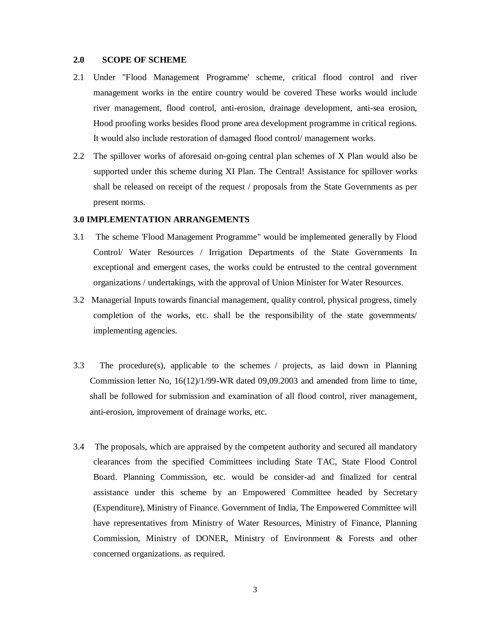#### **2.0 SCOPE OF SCHEME**

- 2.1 Under "Flood Management Programme' scheme, critical flood control and river management works in the entire country would be covered These works would include river management, flood control, anti-erosion, drainage development, anti-sea erosion, Hood proofing works besides flood prone area development programme in critical regions. It would also include restoration of damaged flood control/ management works.
- 2.2 The spillover works of aforesaid on-going central plan schemes of X Plan would also be supported under this scheme during XI Plan. The Central! Assistance for spillover works shall be released on receipt of the request / proposals from the State Governments as per present norms.

#### **3.0 IMPLEMENTATION ARRANGEMENTS**

- 3.1 The scheme 'Flood Management Programme" would be implemented generally by Flood Control/ Water Resources / Irrigation Departments of the State Governments In exceptional and emergent cases, the works could be entrusted to the central government organizations / undertakings, with the approval of Union Minister for Water Resources.
- 3.2 Managerial Inputs towards financial management, quality control, physical progress, timely completion of the works, etc. shall be the responsibility of the state governments/ implementing agencies.
- 3.3 The procedure(s), applicable to the schemes / projects, as laid down in Planning Commission letter No, 16(12)/1/99-WR dated 09,09.2003 and amended from lime to time, shall be followed for submission and examination of all flood control, river management, anti-erosion, improvement of drainage works, etc.
- 3.4 The proposals, which are appraised by the competent authority and secured all mandatory clearances from the specified Committees including State TAC, State Flood Control Board. Planning Commission, etc. would be consider-ad and finalized for central assistance under this scheme by an Empowered Committee headed by Secretary (Expenditure), Ministry of Finance. Government of India, The Empowered Committee will have representatives from Ministry of Water Resources, Ministry of Finance, Planning Commission, Ministry of DONER, Ministry of Environment & Forests and other concerned organizations. as required.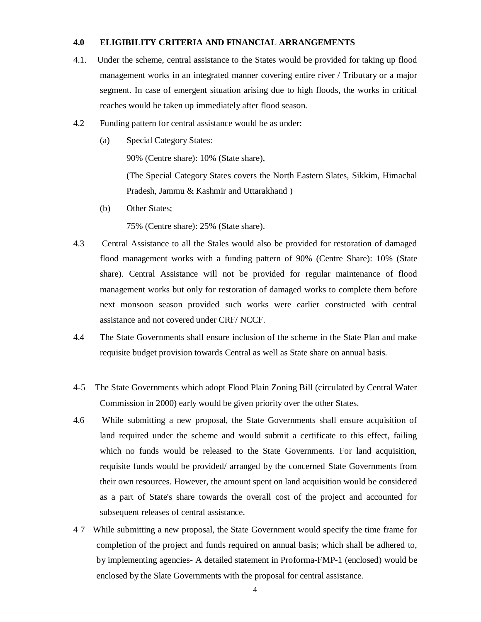#### **4.0 ELIGIBILITY CRITERIA AND FINANCIAL ARRANGEMENTS**

- 4.1. Under the scheme, central assistance to the States would be provided for taking up flood management works in an integrated manner covering entire river / Tributary or a major segment. In case of emergent situation arising due to high floods, the works in critical reaches would be taken up immediately after flood season.
- 4.2 Funding pattern for central assistance would be as under:
	- (a) Special Category States:

90% (Centre share): 10% (State share),

(The Special Category States covers the North Eastern Slates, Sikkim, Himachal Pradesh, Jammu & Kashmir and Uttarakhand )

(b) Other States;

75% (Centre share): 25% (State share).

- 4.3 Central Assistance to all the Stales would also be provided for restoration of damaged flood management works with a funding pattern of 90% (Centre Share): 10% (State share). Central Assistance will not be provided for regular maintenance of flood management works but only for restoration of damaged works to complete them before next monsoon season provided such works were earlier constructed with central assistance and not covered under CRF/ NCCF.
- 4.4 The State Governments shall ensure inclusion of the scheme in the State Plan and make requisite budget provision towards Central as well as State share on annual basis.
- 4-5 The State Governments which adopt Flood Plain Zoning Bill (circulated by Central Water Commission in 2000) early would be given priority over the other States.
- 4.6 While submitting a new proposal, the State Governments shall ensure acquisition of land required under the scheme and would submit a certificate to this effect, failing which no funds would be released to the State Governments. For land acquisition, requisite funds would be provided/ arranged by the concerned State Governments from their own resources. However, the amount spent on land acquisition would be considered as a part of State's share towards the overall cost of the project and accounted for subsequent releases of central assistance.
- 4 7 While submitting a new proposal, the State Government would specify the time frame for completion of the project and funds required on annual basis; which shall be adhered to, by implementing agencies- A detailed statement in Proforma-FMP-1 (enclosed) would be enclosed by the Slate Governments with the proposal for central assistance.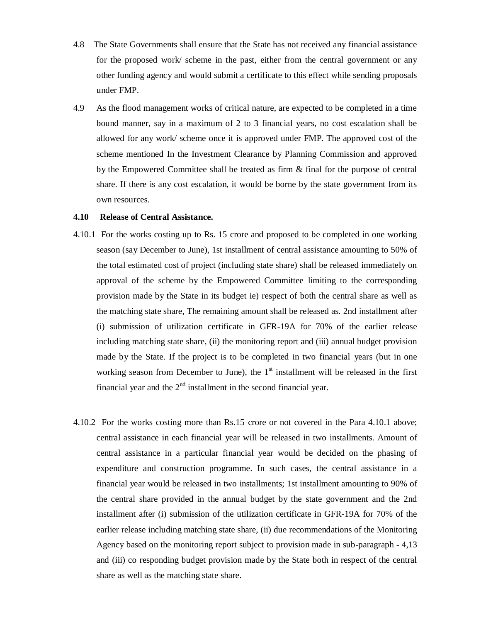- 4.8 The State Governments shall ensure that the State has not received any financial assistance for the proposed work/ scheme in the past, either from the central government or any other funding agency and would submit a certificate to this effect while sending proposals under FMP.
- 4.9 As the flood management works of critical nature, are expected to be completed in a time bound manner, say in a maximum of 2 to 3 financial years, no cost escalation shall be allowed for any work/ scheme once it is approved under FMP. The approved cost of the scheme mentioned In the Investment Clearance by Planning Commission and approved by the Empowered Committee shall be treated as firm & final for the purpose of central share. If there is any cost escalation, it would be borne by the state government from its own resources.

#### **4.10 Release of Central Assistance.**

- 4.10.1 For the works costing up to Rs. 15 crore and proposed to be completed in one working season (say December to June), 1st installment of central assistance amounting to 50% of the total estimated cost of project (including state share) shall be released immediately on approval of the scheme by the Empowered Committee limiting to the corresponding provision made by the State in its budget ie) respect of both the central share as well as the matching state share, The remaining amount shall be released as. 2nd installment after (i) submission of utilization certificate in GFR-19A for 70% of the earlier release including matching state share, (ii) the monitoring report and (iii) annual budget provision made by the State. If the project is to be completed in two financial years (but in one working season from December to June), the  $1<sup>st</sup>$  installment will be released in the first financial year and the  $2<sup>nd</sup>$  installment in the second financial year.
- 4.10.2 For the works costing more than Rs.15 crore or not covered in the Para 4.10.1 above; central assistance in each financial year will be released in two installments. Amount of central assistance in a particular financial year would be decided on the phasing of expenditure and construction programme. In such cases, the central assistance in a financial year would be released in two installments; 1st installment amounting to 90% of the central share provided in the annual budget by the state government and the 2nd installment after (i) submission of the utilization certificate in GFR-19A for 70% of the earlier release including matching state share, (ii) due recommendations of the Monitoring Agency based on the monitoring report subject to provision made in sub-paragraph - 4,13 and (iii) co responding budget provision made by the State both in respect of the central share as well as the matching state share.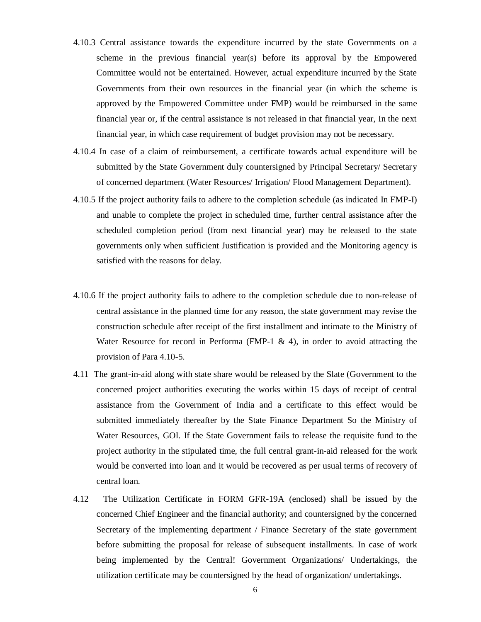- 4.10.3 Central assistance towards the expenditure incurred by the state Governments on a scheme in the previous financial year(s) before its approval by the Empowered Committee would not be entertained. However, actual expenditure incurred by the State Governments from their own resources in the financial year (in which the scheme is approved by the Empowered Committee under FMP) would be reimbursed in the same financial year or, if the central assistance is not released in that financial year, In the next financial year, in which case requirement of budget provision may not be necessary.
- 4.10.4 In case of a claim of reimbursement, a certificate towards actual expenditure will be submitted by the State Government duly countersigned by Principal Secretary/ Secretary of concerned department (Water Resources/ Irrigation/ Flood Management Department).
- 4.10.5 If the project authority fails to adhere to the completion schedule (as indicated In FMP-I) and unable to complete the project in scheduled time, further central assistance after the scheduled completion period (from next financial year) may be released to the state governments only when sufficient Justification is provided and the Monitoring agency is satisfied with the reasons for delay.
- 4.10.6 If the project authority fails to adhere to the completion schedule due to non-release of central assistance in the planned time for any reason, the state government may revise the construction schedule after receipt of the first installment and intimate to the Ministry of Water Resource for record in Performa (FMP-1  $\&$  4), in order to avoid attracting the provision of Para 4.10-5.
- 4.11 The grant-in-aid along with state share would be released by the Slate (Government to the concerned project authorities executing the works within 15 days of receipt of central assistance from the Government of India and a certificate to this effect would be submitted immediately thereafter by the State Finance Department So the Ministry of Water Resources, GOI. If the State Government fails to release the requisite fund to the project authority in the stipulated time, the full central grant-in-aid released for the work would be converted into loan and it would be recovered as per usual terms of recovery of central loan.
- 4.12 The Utilization Certificate in FORM GFR-19A (enclosed) shall be issued by the concerned Chief Engineer and the financial authority; and countersigned by the concerned Secretary of the implementing department / Finance Secretary of the state government before submitting the proposal for release of subsequent installments. In case of work being implemented by the Central! Government Organizations/ Undertakings, the utilization certificate may be countersigned by the head of organization/ undertakings.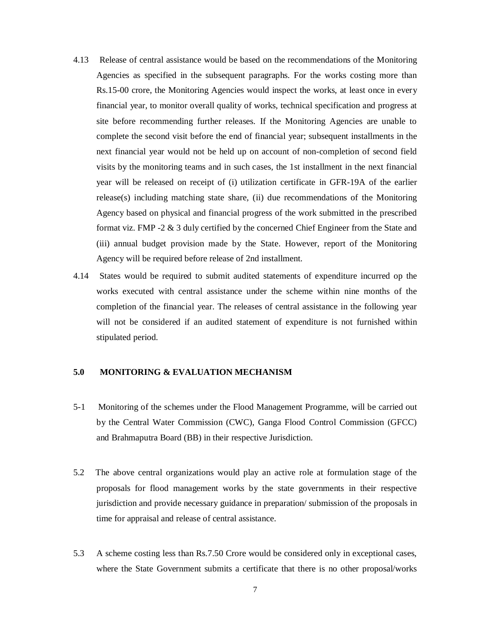- 4.13 Release of central assistance would be based on the recommendations of the Monitoring Agencies as specified in the subsequent paragraphs. For the works costing more than Rs.15-00 crore, the Monitoring Agencies would inspect the works, at least once in every financial year, to monitor overall quality of works, technical specification and progress at site before recommending further releases. If the Monitoring Agencies are unable to complete the second visit before the end of financial year; subsequent installments in the next financial year would not be held up on account of non-completion of second field visits by the monitoring teams and in such cases, the 1st installment in the next financial year will be released on receipt of (i) utilization certificate in GFR-19A of the earlier release(s) including matching state share, (ii) due recommendations of the Monitoring Agency based on physical and financial progress of the work submitted in the prescribed format viz. FMP -2 & 3 duly certified by the concerned Chief Engineer from the State and (iii) annual budget provision made by the State. However, report of the Monitoring Agency will be required before release of 2nd installment.
- 4.14 States would be required to submit audited statements of expenditure incurred op the works executed with central assistance under the scheme within nine months of the completion of the financial year. The releases of central assistance in the following year will not be considered if an audited statement of expenditure is not furnished within stipulated period.

#### **5.0 MONITORING & EVALUATION MECHANISM**

- 5-1 Monitoring of the schemes under the Flood Management Programme, will be carried out by the Central Water Commission (CWC), Ganga Flood Control Commission (GFCC) and Brahmaputra Board (BB) in their respective Jurisdiction.
- 5.2 The above central organizations would play an active role at formulation stage of the proposals for flood management works by the state governments in their respective jurisdiction and provide necessary guidance in preparation/ submission of the proposals in time for appraisal and release of central assistance.
- 5.3 A scheme costing less than Rs.7.50 Crore would be considered only in exceptional cases, where the State Government submits a certificate that there is no other proposal/works